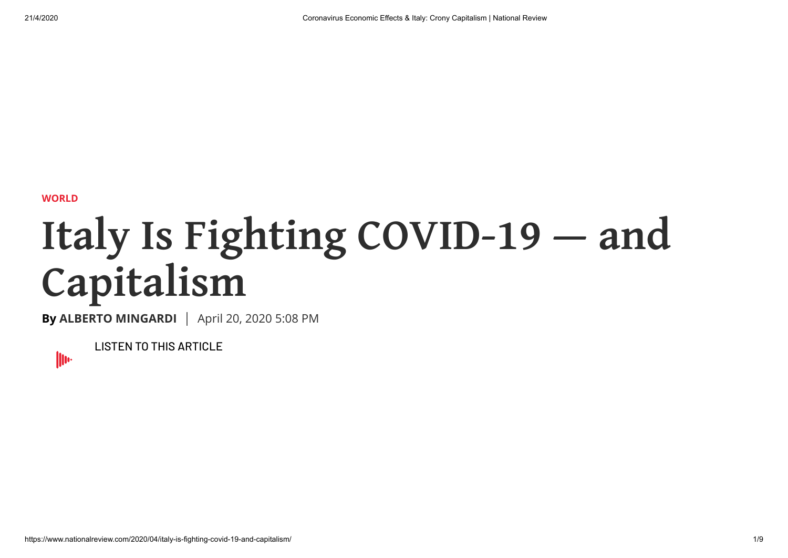**[WORLD](https://www.nationalreview.com/world/)**

## **Italy Is Fighting COVID-19 — and Capitalism**

**By [ALBERTO MINGARDI](https://www.nationalreview.com/author/alberto-mingardi/)** | April 20, 2020 5:08 PM

**LISTEN TO THIS ARTICLE** 

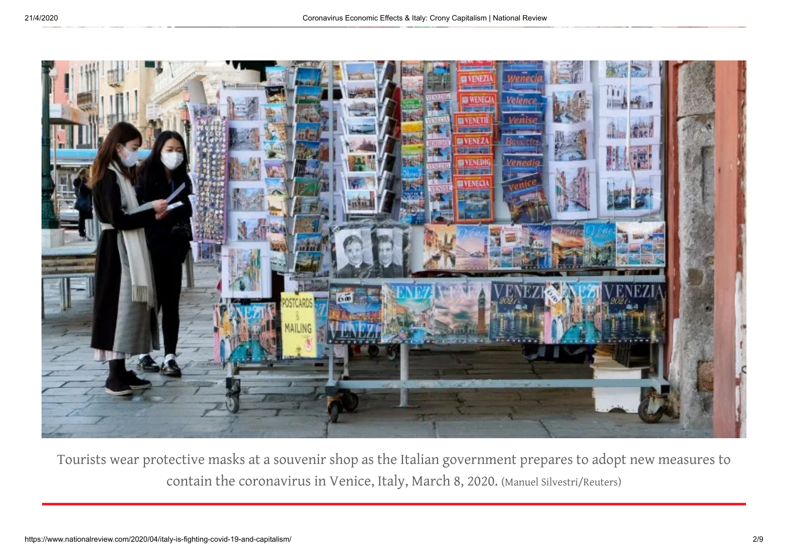

Tourists wear protective masks at a souvenir shop as the Italian government prepares to adopt new measures to contain the coronavirus in Venice, Italy, March 8, 2020. (Manuel Silvestri/Reuters)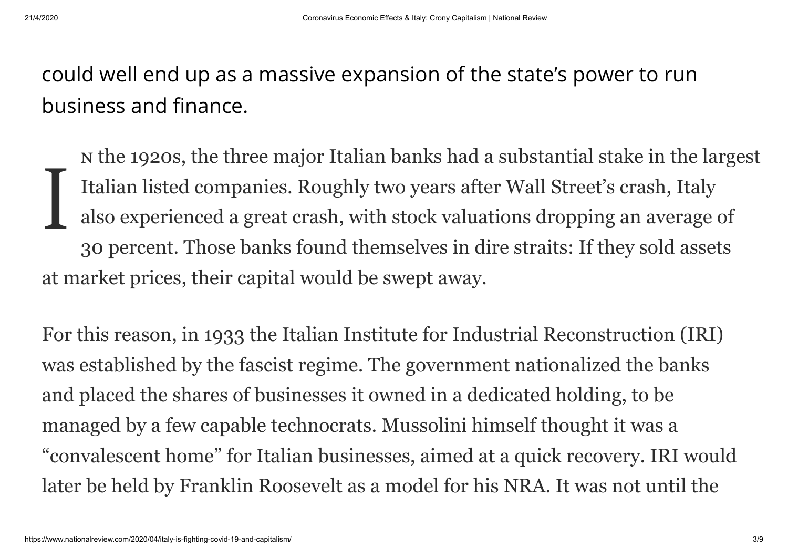could well end up as a massive expansion of the state's power to run business and finance.

I the 1920s, the three major Italian banks had a substantial stake in the largest Italian listed companies. Roughly two years after Wall Street's crash, Italy also experienced a great crash, with stock valuations dropping an average of 30 percent. Those banks found themselves in dire straits: If they sold assets at market prices, their capital would be swept away.

For this reason, in 1933 the Italian Institute for Industrial Reconstruction (IRI) was established by the fascist regime. The government nationalized the banks and placed the shares of businesses it owned in a dedicated holding, to be managed by a few capable technocrats. Mussolini himself thought it was a "convalescent home" for Italian businesses, aimed at a quick recovery. IRI would later be held by Franklin Roosevelt as a model for his NRA. It was not until the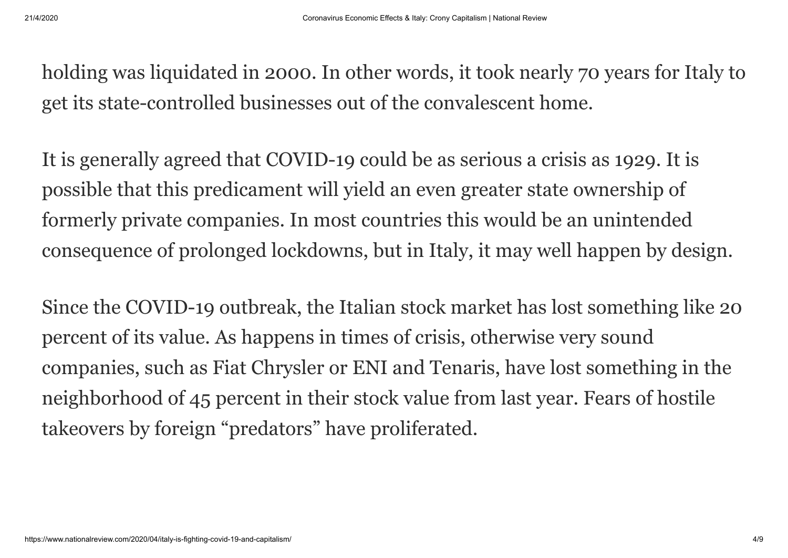holding was liquidated in 2000. In other words, it took nearly 70 years for Italy to get its state-controlled businesses out of the convalescent home.

It is generally agreed that COVID-19 could be as serious a crisis as 1929. It is possible that this predicament will yield an even greater state ownership of formerly private companies. In most countries this would be an unintended consequence of prolonged lockdowns, but in Italy, it may well happen by design.

Since the COVID-19 outbreak, the Italian stock market has lost something like 20 percent of its value. As happens in times of crisis, otherwise very sound companies, such as Fiat Chrysler or ENI and Tenaris, have lost something in the neighborhood of 45 percent in their stock value from last year. Fears of hostile takeovers by foreign "predators" have proliferated.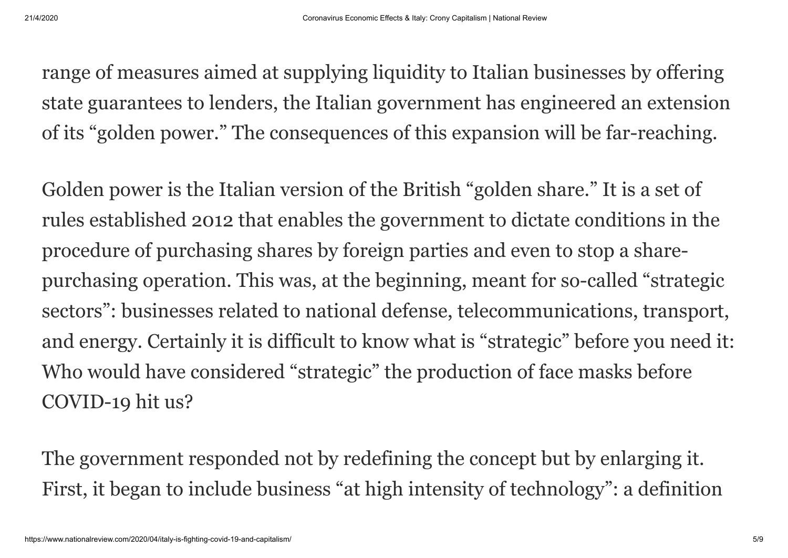range of measures aimed at supplying liquidity to Italian businesses by offering state guarantees to lenders, the Italian government has engineered an extension of its "golden power." The consequences of this expansion will be far-reaching.

Golden power is the Italian version of the British "golden share." It is a set of rules established 2012 that enables the government to dictate conditions in the procedure of purchasing shares by foreign parties and even to stop a sharepurchasing operation. This was, at the beginning, meant for so-called "strategic sectors": businesses related to national defense, telecommunications, transport, and energy. Certainly it is difficult to know what is "strategic" before you need it: Who would have considered "strategic" the production of face masks before COVID-19 hit us?

The government responded not by redefining the concept but by enlarging it. First, it began to include business "at high intensity of technology": a definition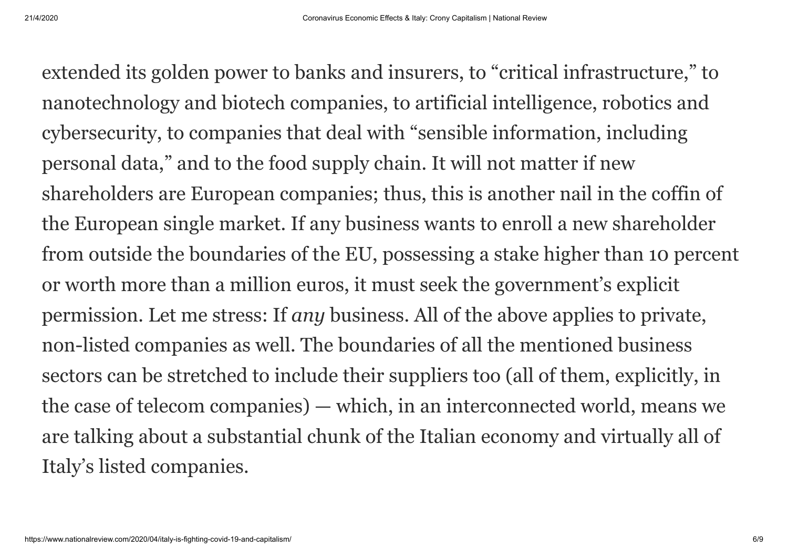extended its golden power to banks and insurers, to "critical infrastructure," to nanotechnology and biotech companies, to artificial intelligence, robotics and cybersecurity, to companies that deal with "sensible information, including personal data," and to the food supply chain. It will not matter if new shareholders are European companies; thus, this is another nail in the coffin of the European single market. If any business wants to enroll a new shareholder from outside the boundaries of the EU, possessing a stake higher than 10 percent or worth more than a million euros, it must seek the government's explicit permission. Let me stress: If *any* business. All of the above applies to private, non-listed companies as well. The boundaries of all the mentioned business sectors can be stretched to include their suppliers too (all of them, explicitly, in the case of telecom companies) — which, in an interconnected world, means we are talking about a substantial chunk of the Italian economy and virtually all of Italy's listed companies.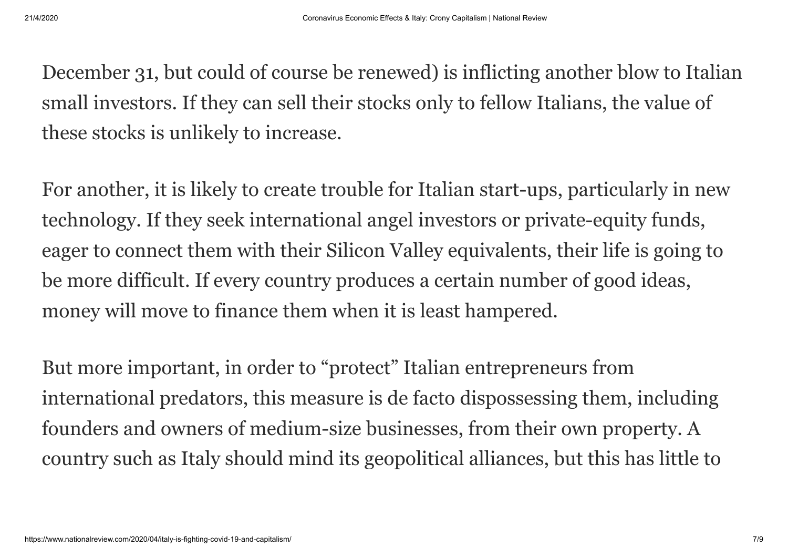December 31, but could of course be renewed) is inflicting another blow to Italian small investors. If they can sell their stocks only to fellow Italians, the value of these stocks is unlikely to increase.

For another, it is likely to create trouble for Italian start-ups, particularly in new technology. If they seek international angel investors or private-equity funds, eager to connect them with their Silicon Valley equivalents, their life is going to be more difficult. If every country produces a certain number of good ideas, money will move to finance them when it is least hampered.

But more important, in order to "protect" Italian entrepreneurs from international predators, this measure is de facto dispossessing them, including founders and owners of medium-size businesses, from their own property. A country such as Italy should mind its geopolitical alliances, but this has little to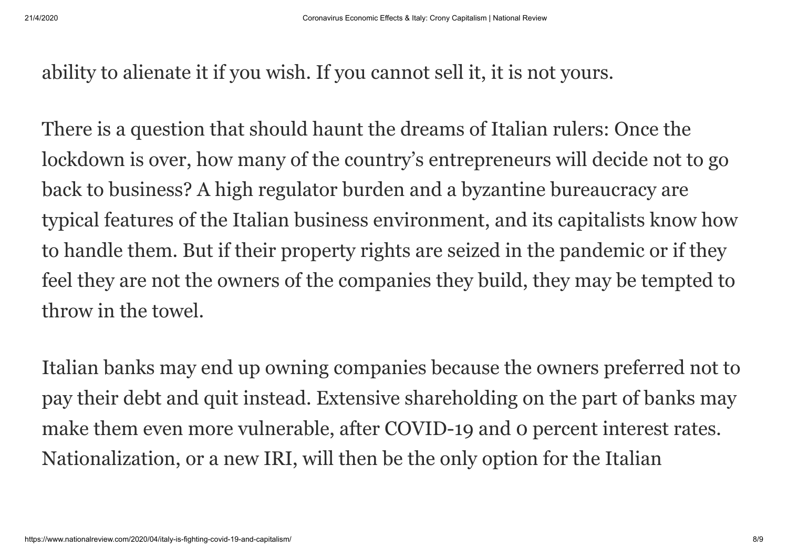ability to alienate it if you wish. If you cannot sell it, it is not yours.

There is a question that should haunt the dreams of Italian rulers: Once the lockdown is over, how many of the country's entrepreneurs will decide not to go back to business? A high regulator burden and a byzantine bureaucracy are typical features of the Italian business environment, and its capitalists know how to handle them. But if their property rights are seized in the pandemic or if they feel they are not the owners of the companies they build, they may be tempted to throw in the towel.

Italian banks may end up owning companies because the owners preferred not to pay their debt and quit instead. Extensive shareholding on the part of banks may make them even more vulnerable, after COVID-19 and 0 percent interest rates. Nationalization, or a new IRI, will then be the only option for the Italian